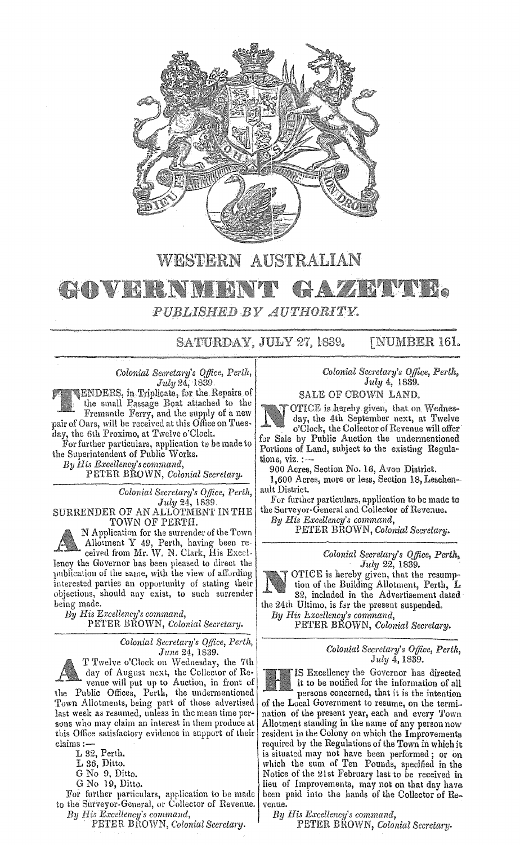

## WESTERN AUSTRALIAN

## AZ GOVERNI M I PUBLISHED BY AUTHORITY.

SATURDAY, JULY 27, 1839. [NUMBER 161.

*Colonial Secretary's Qffice,*   $July\ 24, 1839.$ 

ENDERS, in Triplicate, for the Repairs of the small Passage Boat attached to the Fremantle Ferry, and the supply of a new pair of Oars, will be received at this Office on Tuesday, the 6th Proximo, at Twelve o'Clock.

For further particulars, application to be made to the Superintendent of Public Works.

*By jUs E:ccellency's command,* 

PETER BROWN, *Colonial Secretary.* 

*Colonial Secretary's Of lice, Perth, July* 24, 1839 SURRENDER OF AN ALLOTMENT IN THE

TOWN OF PERTH.

N Application for the surrender of the Town Allotment Y 49, Perth, having been receivrd from Mr. W. N. Clark, His Excellency the Governor has been pleased to direct the publication of the same, with the view of affording interested parties an opportunity of stating their objections, should any exist, to such surrender being made.

*By His Excellency's command,* 

PETER BROWN, *Colonial Secretary.* 

*Colonial Secretary's Qllice, Perth, June* 24, 1839.

Twelve o'Clock on Wednesday, the 7th day of August next, the Collector of Revenue will put up to Auction, in front of the Public Offices, Perth, the undermentioned Town Allotments, being part of those advertised last week as resumed, unless in the mean time persons who may claim an interest in them produce at this Office satisfactory evidence in support of their claims  $:$ 

L 32, Perth.

L 36, Ditto.

G No 9, Ditto.

G No 19, Ditto.

For further particulars, application to be made to the Surveyor-General, or Collector of Revenue. *By HisE.7Jcellency's command,* 

PETER BROWN, *Colonial Secretary.* 

## *Colonial Secretary's Office,*  July 4, 1839.

SALE OF CROWN LAND.

OTICE is hereby given, that on Wednesday, the 4th September next, at Twelve . o'Clock, the Collector of Revenue will offer for Sale by Public Auction the undermentioned Portions of Land, subject to the existing Regulations, viz. :-

900 Acres, Section No. 16, Avon District.

1,600 Acres, more or less, Section 18, Leschenault District.

For further particulars, application to be made to the Surveyor-General and Collector of Revenue.

*By His Excellency's command,* 

PETER BROWN, *Colonial Secretary.* 

*Colonial Secretary's Qffice, PerU\_, July* 22, 1839.

OTICE is hereby given, that the resumption of the Building Allotment, Perth, L 32, included in the Advertisement dated the 24th Ultimo, is fer the present suspended.

By His *Excellency's command*,

PETER BROWN, *Colonial Secretary.* 

## *Colonial Secrctm'y's Office, Perth,*  4,1839.

IS Excellency the Governor has directed it to be notified for the information of all

persons concerned, that it is the intention of the Local Government to resume, on the termination of the present year, each and every Town Allotment standing in the name of any person now resident in the Colony on which the Improvements required by the Regulations of the Town in which it is situated may not have been performed; or on which the sum of Ten Pounds, specified in the Notice of the 2lst February last to be received in lieu of Improvements, may not on that day have been paid into the hands of the Collector of Revenue.

By His Excellency's command,

PETER BROWN, Colonial Secretary.